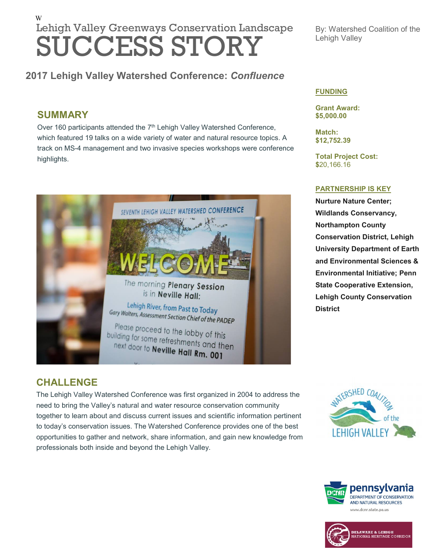# W Lehigh Valley Greenways Conservation Landscape SUCCESS STORY

### **2017 Lehigh Valley Watershed Conference:** *Confluence*

### **SUMMARY**

Over 160 participants attended the 7<sup>th</sup> Lehigh Valley Watershed Conference, which featured 19 talks on a wide variety of water and natural resource topics. A track on MS-4 management and two invasive species workshops were conference highlights.



#### By: Watershed Coalition of the Lehigh Valley

#### **FUNDING**

**Grant Award: \$5,000.00**

**Match: \$12,752.39**

**Total Project Cost: \$**20,166.16

#### **PARTNERSHIP IS KEY**

**Nurture Nature Center; Wildlands Conservancy, Northampton County Conservation District, Lehigh University Department of Earth and Environmental Sciences & Environmental Initiative; Penn State Cooperative Extension, Lehigh County Conservation District**

### **CHALLENGE**

The Lehigh Valley Watershed Conference was first organized in 2004 to address the need to bring the Valley's natural and water resource conservation community together to learn about and discuss current issues and scientific information pertinent to today's conservation issues. The Watershed Conference provides one of the best opportunities to gather and network, share information, and gain new knowledge from professionals both inside and beyond the Lehigh Valley.